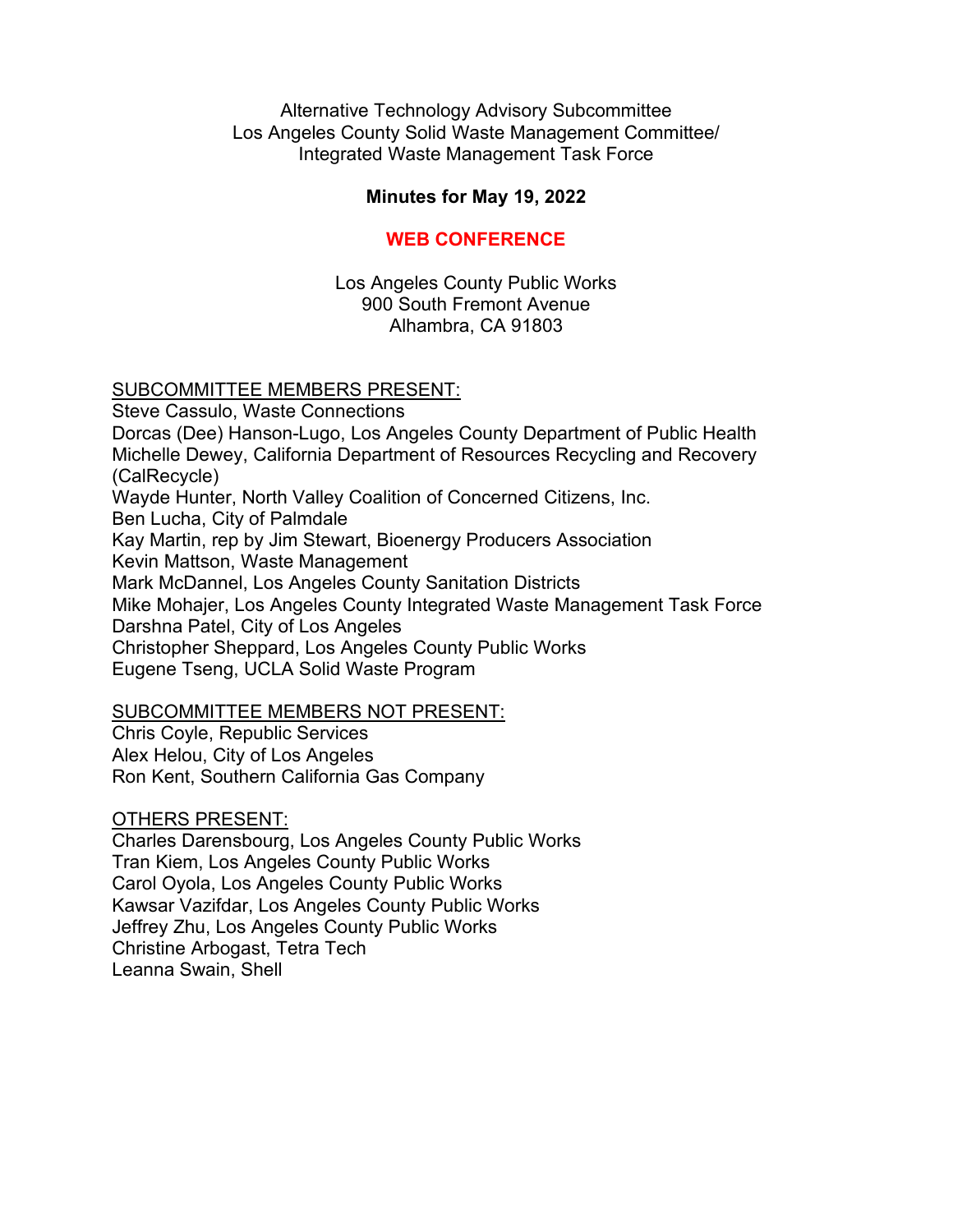Alternative Technology Advisory Subcommittee Los Angeles County Solid Waste Management Committee/ Integrated Waste Management Task Force

## **Minutes for May 19, 2022**

## **WEB CONFERENCE**

Los Angeles County Public Works 900 South Fremont Avenue Alhambra, CA 91803

#### SUBCOMMITTEE MEMBERS PRESENT:

Steve Cassulo, Waste Connections Dorcas (Dee) Hanson-Lugo, Los Angeles County Department of Public Health Michelle Dewey, California Department of Resources Recycling and Recovery (CalRecycle) Wayde Hunter, North Valley Coalition of Concerned Citizens, Inc. Ben Lucha, City of Palmdale Kay Martin, rep by Jim Stewart, Bioenergy Producers Association Kevin Mattson, Waste Management Mark McDannel, Los Angeles County Sanitation Districts Mike Mohajer, Los Angeles County Integrated Waste Management Task Force Darshna Patel, City of Los Angeles Christopher Sheppard, Los Angeles County Public Works Eugene Tseng, UCLA Solid Waste Program

## SUBCOMMITTEE MEMBERS NOT PRESENT:

Chris Coyle, Republic Services Alex Helou, City of Los Angeles Ron Kent, Southern California Gas Company

#### OTHERS PRESENT:

Charles Darensbourg, Los Angeles County Public Works Tran Kiem, Los Angeles County Public Works Carol Oyola, Los Angeles County Public Works Kawsar Vazifdar, Los Angeles County Public Works Jeffrey Zhu, Los Angeles County Public Works Christine Arbogast, Tetra Tech Leanna Swain, Shell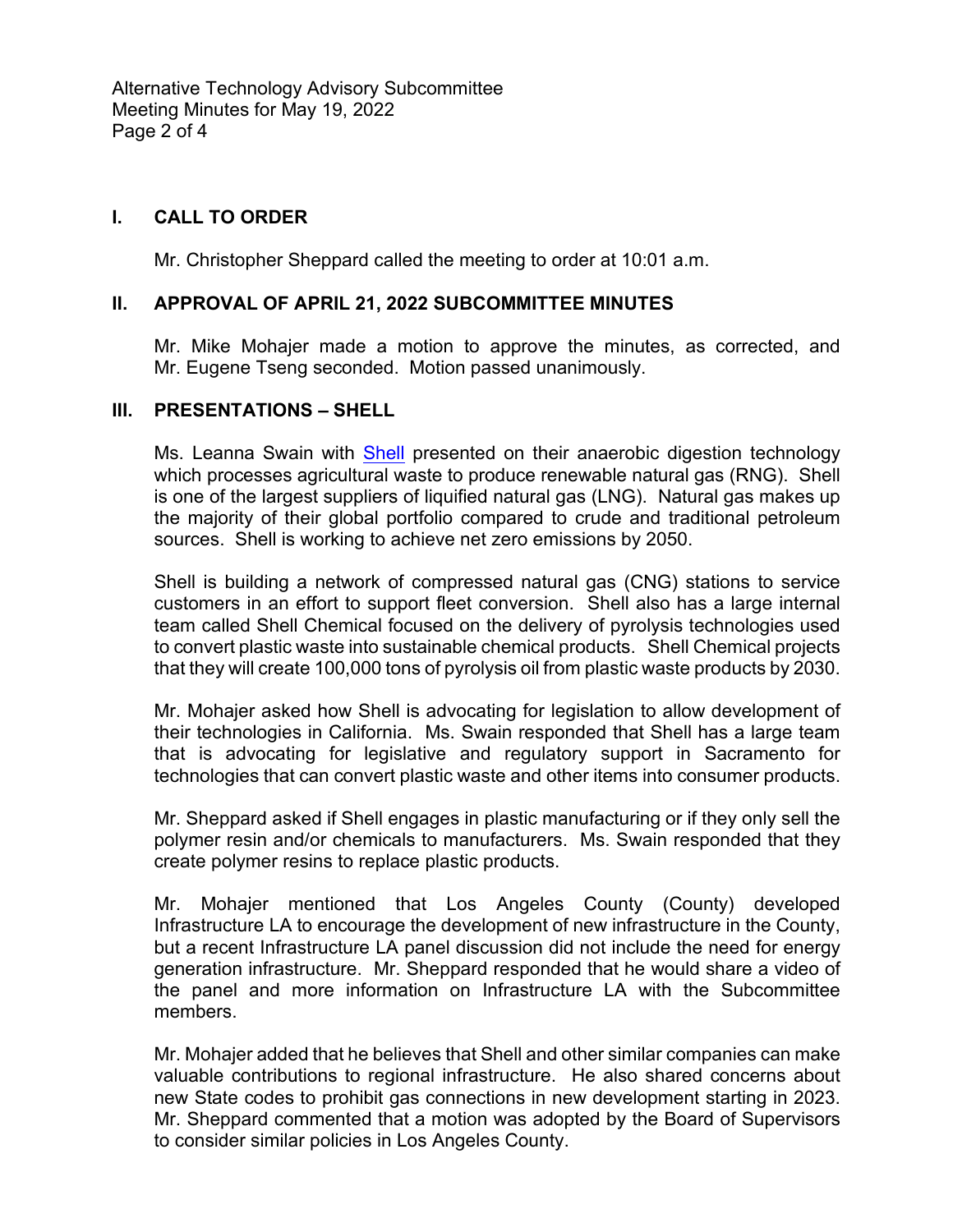Alternative Technology Advisory Subcommittee Meeting Minutes for May 19, 2022 Page 2 of 4

## **I. CALL TO ORDER**

Mr. Christopher Sheppard called the meeting to order at 10:01 a.m.

## **II. APPROVAL OF APRIL 21, 2022 SUBCOMMITTEE MINUTES**

Mr. Mike Mohajer made a motion to approve the minutes, as corrected, and Mr. Eugene Tseng seconded. Motion passed unanimously.

#### **III. PRESENTATIONS – SHELL**

Ms. Leanna Swain with [Shell](https://pw.lacounty.gov/epd/tf/Attachments/Minutes_Attachments/2022_Attachments/Shell_ATAS_5.19.2022.pdf) presented on their anaerobic digestion technology which processes agricultural waste to produce renewable natural gas (RNG). Shell is one of the largest suppliers of liquified natural gas (LNG). Natural gas makes up the majority of their global portfolio compared to crude and traditional petroleum sources. Shell is working to achieve net zero emissions by 2050.

Shell is building a network of compressed natural gas (CNG) stations to service customers in an effort to support fleet conversion. Shell also has a large internal team called Shell Chemical focused on the delivery of pyrolysis technologies used to convert plastic waste into sustainable chemical products. Shell Chemical projects that they will create 100,000 tons of pyrolysis oil from plastic waste products by 2030.

Mr. Mohajer asked how Shell is advocating for legislation to allow development of their technologies in California. Ms. Swain responded that Shell has a large team that is advocating for legislative and regulatory support in Sacramento for technologies that can convert plastic waste and other items into consumer products.

Mr. Sheppard asked if Shell engages in plastic manufacturing or if they only sell the polymer resin and/or chemicals to manufacturers. Ms. Swain responded that they create polymer resins to replace plastic products.

Mr. Mohajer mentioned that Los Angeles County (County) developed Infrastructure LA to encourage the development of new infrastructure in the County, but a recent Infrastructure LA panel discussion did not include the need for energy generation infrastructure. Mr. Sheppard responded that he would share a video of the panel and more information on Infrastructure LA with the Subcommittee members.

Mr. Mohajer added that he believes that Shell and other similar companies can make valuable contributions to regional infrastructure. He also shared concerns about new State codes to prohibit gas connections in new development starting in 2023. Mr. Sheppard commented that a motion was adopted by the Board of Supervisors to consider similar policies in Los Angeles County.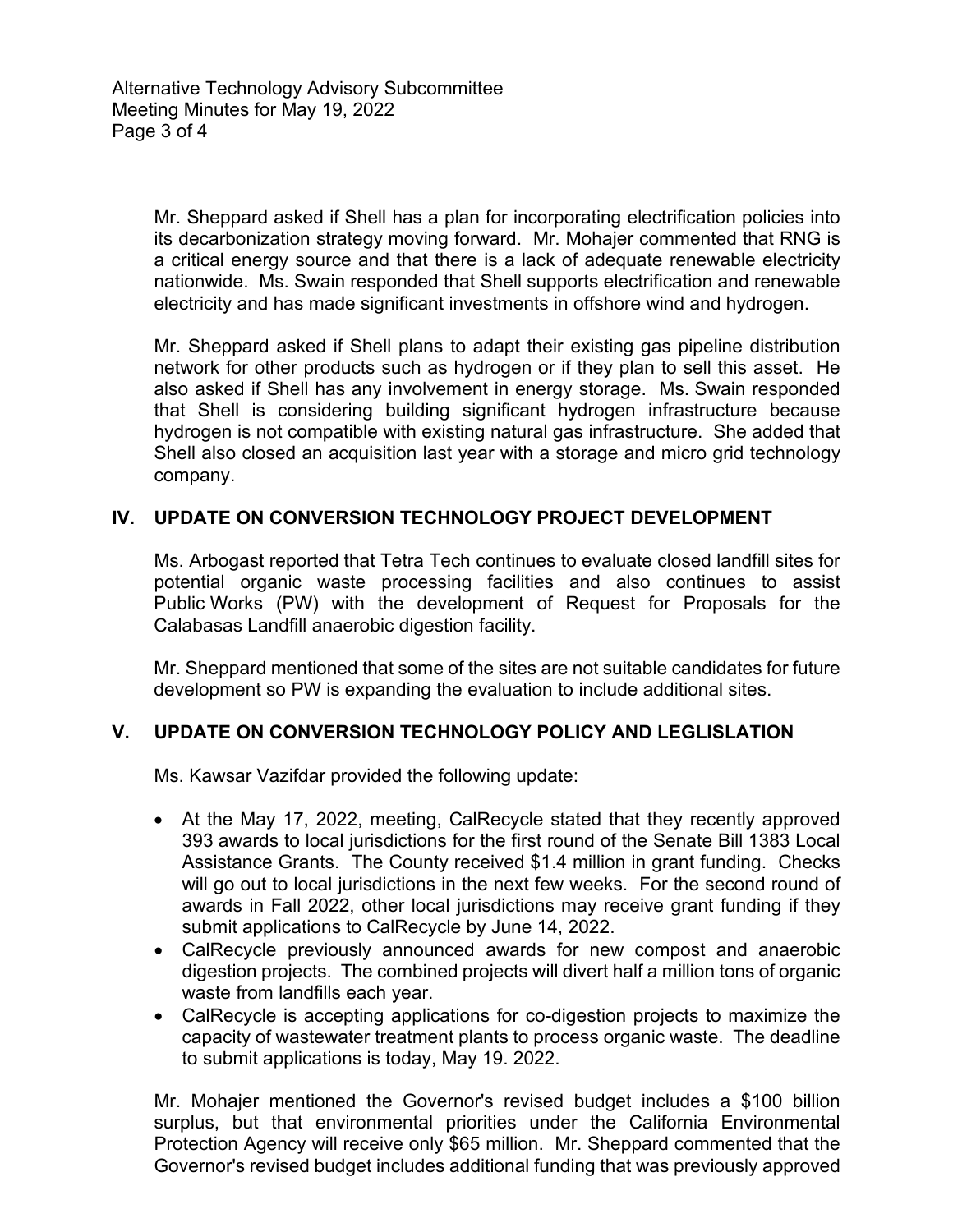Mr. Sheppard asked if Shell has a plan for incorporating electrification policies into its decarbonization strategy moving forward. Mr. Mohajer commented that RNG is a critical energy source and that there is a lack of adequate renewable electricity nationwide. Ms. Swain responded that Shell supports electrification and renewable electricity and has made significant investments in offshore wind and hydrogen.

Mr. Sheppard asked if Shell plans to adapt their existing gas pipeline distribution network for other products such as hydrogen or if they plan to sell this asset. He also asked if Shell has any involvement in energy storage. Ms. Swain responded that Shell is considering building significant hydrogen infrastructure because hydrogen is not compatible with existing natural gas infrastructure. She added that Shell also closed an acquisition last year with a storage and micro grid technology company.

# **IV. UPDATE ON CONVERSION TECHNOLOGY PROJECT DEVELOPMENT**

Ms. Arbogast reported that Tetra Tech continues to evaluate closed landfill sites for potential organic waste processing facilities and also continues to assist Public Works (PW) with the development of Request for Proposals for the Calabasas Landfill anaerobic digestion facility.

Mr. Sheppard mentioned that some of the sites are not suitable candidates for future development so PW is expanding the evaluation to include additional sites.

# **V. UPDATE ON CONVERSION TECHNOLOGY POLICY AND LEGLISLATION**

Ms. Kawsar Vazifdar provided the following update:

- At the May 17, 2022, meeting, CalRecycle stated that they recently approved 393 awards to local jurisdictions for the first round of the Senate Bill 1383 Local Assistance Grants. The County received \$1.4 million in grant funding. Checks will go out to local jurisdictions in the next few weeks. For the second round of awards in Fall 2022, other local jurisdictions may receive grant funding if they submit applications to CalRecycle by June 14, 2022.
- CalRecycle previously announced awards for new compost and anaerobic digestion projects. The combined projects will divert half a million tons of organic waste from landfills each year.
- CalRecycle is accepting applications for co-digestion projects to maximize the capacity of wastewater treatment plants to process organic waste. The deadline to submit applications is today, May 19. 2022.

Mr. Mohajer mentioned the Governor's revised budget includes a \$100 billion surplus, but that environmental priorities under the California Environmental Protection Agency will receive only \$65 million. Mr. Sheppard commented that the Governor's revised budget includes additional funding that was previously approved